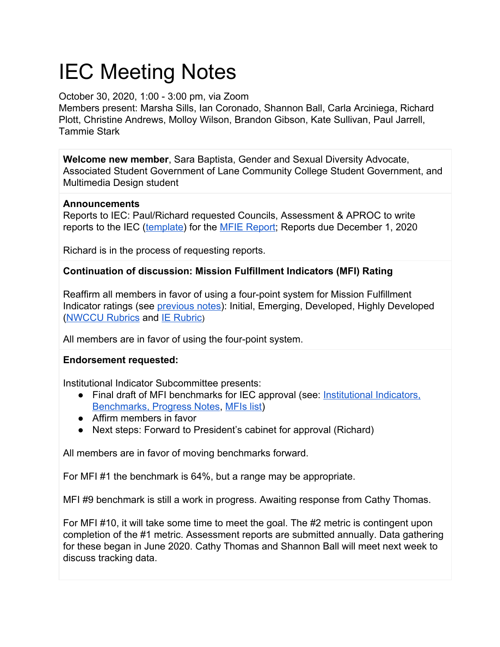# IEC Meeting Notes

## October 30, 2020, 1:00 - 3:00 pm, via Zoom

Members present: Marsha Sills, Ian Coronado, Shannon Ball, Carla Arciniega, Richard Plott, Christine Andrews, Molloy Wilson, Brandon Gibson, Kate Sullivan, Paul Jarrell, Tammie Stark

**Welcome new member**, Sara Baptista, Gender and Sexual Diversity Advocate, Associated Student Government of Lane Community College Student Government, and Multimedia Design student

### **Announcements**

Reports to IEC: Paul/Richard requested Councils, Assessment & APROC to write reports to the IEC [\(template\)](https://www.lanecc.edu/pie/institutional-effectiveness-report-template) for the [MFIE Report;](https://www.lanecc.edu/ie/institutional-effectiveness-reports) Reports due December 1, 2020

Richard is in the process of requesting reports.

## **Continuation of discussion: Mission Fulfillment Indicators (MFI) Rating**

Reaffirm all members in favor of using a four-point system for Mission Fulfillment Indicator ratings (see [previous notes\)](https://docs.google.com/document/d/1eY0ZAp5A7Jfs8WOqUUOn__H48OAhugB0fk1-uqed3xU/edit): Initial, Emerging, Developed, Highly Developed [\(NWCCU Rubrics](https://www.lanecc.edu/accreditation/accreditation-reports) and [IE Rubric](https://docs.google.com/document/d/1GF4jhJOq6w9NarfNKFpQEc31Hb0SRHPM0zHz3rd0_Wo/edit#heading=h.gjdgxs))

All members are in favor of using the four-point system.

## **Endorsement requested:**

Institutional Indicator Subcommittee presents:

- Final draft of MFI benchmarks for IEC approval (see: [Institutional Indicators,](https://docs.google.com/spreadsheets/d/1UW0Wcdbp9_q70ITxaJXYobOL9W6ggEqS58jy3bphmjg/edit#gid=0) [Benchmarks, Progress Notes](https://docs.google.com/spreadsheets/d/1UW0Wcdbp9_q70ITxaJXYobOL9W6ggEqS58jy3bphmjg/edit#gid=0), [MFIs list\)](https://www.lanecc.edu/ie/mission-fulfillment-indicators)
- Affirm members in favor
- Next steps: Forward to President's cabinet for approval (Richard)

All members are in favor of moving benchmarks forward.

For MFI #1 the benchmark is 64%, but a range may be appropriate.

MFI #9 benchmark is still a work in progress. Awaiting response from Cathy Thomas.

For MFI #10, it will take some time to meet the goal. The #2 metric is contingent upon completion of the #1 metric. Assessment reports are submitted annually. Data gathering for these began in June 2020. Cathy Thomas and Shannon Ball will meet next week to discuss tracking data.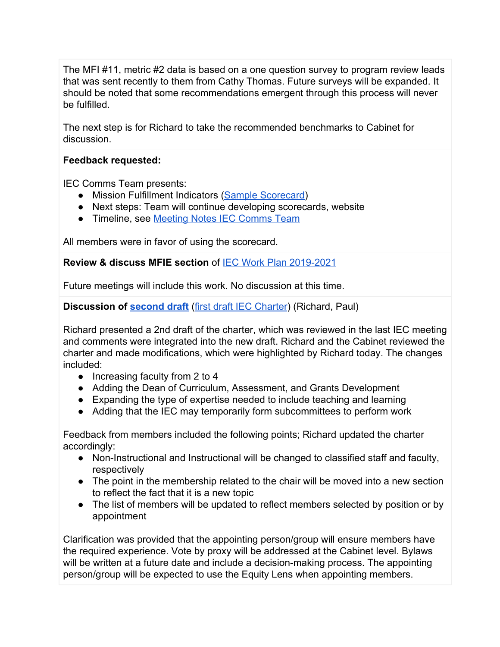The MFI #11, metric #2 data is based on a one question survey to program review leads that was sent recently to them from Cathy Thomas. Future surveys will be expanded. It should be noted that some recommendations emergent through this process will never be fulfilled.

The next step is for Richard to take the recommended benchmarks to Cabinet for discussion.

#### **Feedback requested:**

IEC Comms Team presents:

- Mission Fulfillment Indicators [\(Sample Scorecard\)](https://drive.google.com/file/d/1AJ9_dt9TjhLTjHXn5T6LSxEgYLDU-e0I/view?usp=sharing)
- Next steps: Team will continue developing scorecards, website
- Timeline, see [Meeting Notes IEC Comms Team](https://docs.google.com/document/d/1gensoFIa7MAwpGX-4rgJPZt-BdLjDquparadgK-ohNA/edit?usp=sharing)

All members were in favor of using the scorecard.

**Review & discuss MFIE section** of [IEC Work Plan 2019-2021](https://docs.google.com/document/d/19n01OysbpfPfBtDwm6muwnbbZb6PvWDjei0C1ttIqJY/edit?usp=sharing)

Future meetings will include this work. No discussion at this time.

**Discussion of [second draft](https://drive.google.com/file/d/1rNYkfGe1CIdiLSzYbfK70YydsY-yZYNe/view?usp=sharing)** [\(first draft IEC Charter\)](https://docs.google.com/document/d/1s3v0YWMlh8MaBXFhY3kwqYYCGJpt5TyYBpLRhtF-COE/edit?usp=sharing) (Richard, Paul)

Richard presented a 2nd draft of the charter, which was reviewed in the last IEC meeting and comments were integrated into the new draft. Richard and the Cabinet reviewed the charter and made modifications, which were highlighted by Richard today. The changes included:

- Increasing faculty from 2 to 4
- Adding the Dean of Curriculum, Assessment, and Grants Development
- Expanding the type of expertise needed to include teaching and learning
- Adding that the IEC may temporarily form subcommittees to perform work

Feedback from members included the following points; Richard updated the charter accordingly:

- Non-Instructional and Instructional will be changed to classified staff and faculty, respectively
- The point in the membership related to the chair will be moved into a new section to reflect the fact that it is a new topic
- The list of members will be updated to reflect members selected by position or by appointment

Clarification was provided that the appointing person/group will ensure members have the required experience. Vote by proxy will be addressed at the Cabinet level. Bylaws will be written at a future date and include a decision-making process. The appointing person/group will be expected to use the Equity Lens when appointing members.